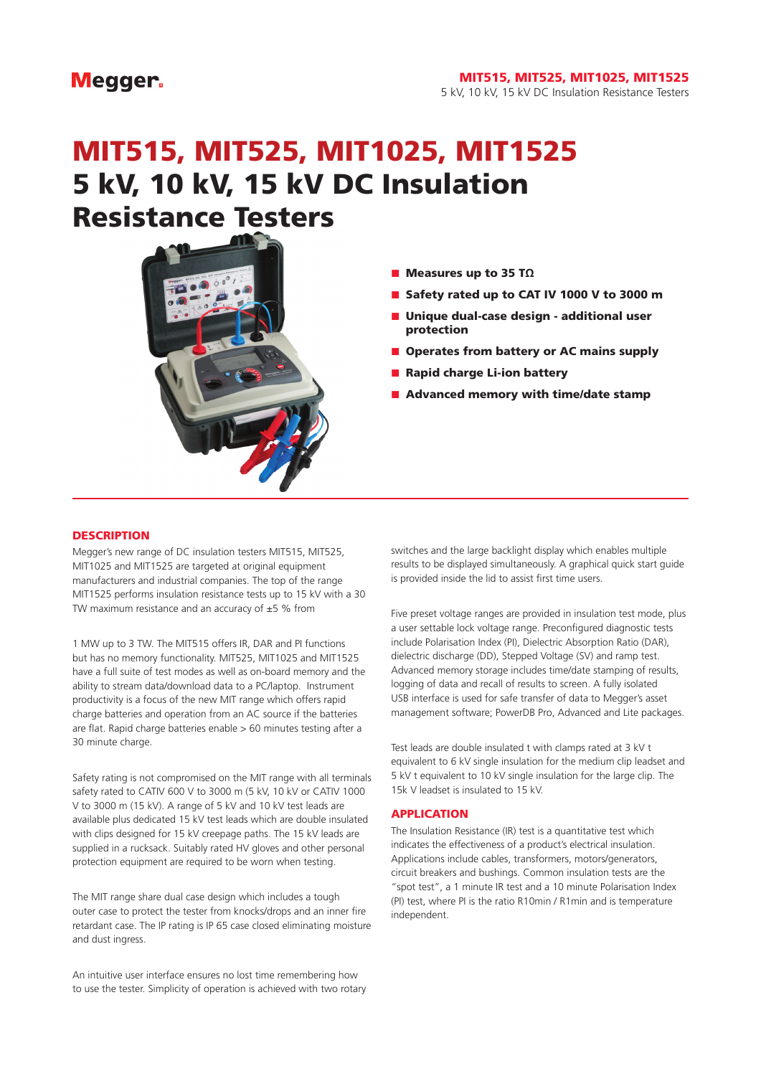### **Megger**

#### MIT515, MIT525, MIT1025, MIT1525 5 kV, 10 kV, 15 kV DC Insulation Resistance Testers

# MIT515, MIT525, MIT1025, MIT1525 5 kV, 10 kV, 15 kV DC Insulation Resistance Testers



- Measures up to 35 TΩ
- Safety rated up to CAT IV 1000 V to 3000 m
- Unique dual-case design additional user protection
- Operates from battery or AC mains supply
- Rapid charge Li-ion battery
- Advanced memory with time/date stamp

#### **DESCRIPTION**

Megger's new range of DC insulation testers MIT515, MIT525, MIT1025 and MIT1525 are targeted at original equipment manufacturers and industrial companies. The top of the range MIT1525 performs insulation resistance tests up to 15 kV with a 30 TW maximum resistance and an accuracy of  $\pm 5$  % from

1 MW up to 3 TW. The MIT515 offers IR, DAR and PI functions but has no memory functionality. MIT525, MIT1025 and MIT1525 have a full suite of test modes as well as on-board memory and the ability to stream data/download data to a PC/laptop. Instrument productivity is a focus of the new MIT range which offers rapid charge batteries and operation from an AC source if the batteries are flat. Rapid charge batteries enable > 60 minutes testing after a 30 minute charge.

Safety rating is not compromised on the MIT range with all terminals safety rated to CATIV 600 V to 3000 m (5 kV, 10 kV or CATIV 1000 V to 3000 m (15 kV). A range of 5 kV and 10 kV test leads are available plus dedicated 15 kV test leads which are double insulated with clips designed for 15 kV creepage paths. The 15 kV leads are supplied in a rucksack. Suitably rated HV gloves and other personal protection equipment are required to be worn when testing.

The MIT range share dual case design which includes a tough outer case to protect the tester from knocks/drops and an inner fire retardant case. The IP rating is IP 65 case closed eliminating moisture and dust ingress.

An intuitive user interface ensures no lost time remembering how to use the tester. Simplicity of operation is achieved with two rotary switches and the large backlight display which enables multiple results to be displayed simultaneously. A graphical quick start guide is provided inside the lid to assist first time users.

Five preset voltage ranges are provided in insulation test mode, plus a user settable lock voltage range. Preconfigured diagnostic tests include Polarisation Index (PI), Dielectric Absorption Ratio (DAR), dielectric discharge (DD), Stepped Voltage (SV) and ramp test. Advanced memory storage includes time/date stamping of results, logging of data and recall of results to screen. A fully isolated USB interface is used for safe transfer of data to Megger's asset management software; PowerDB Pro, Advanced and Lite packages.

Test leads are double insulated t with clamps rated at 3 kV t equivalent to 6 kV single insulation for the medium clip leadset and 5 kV t equivalent to 10 kV single insulation for the large clip. The 15k V leadset is insulated to 15 kV.

#### APPLICATION

The Insulation Resistance (IR) test is a quantitative test which indicates the effectiveness of a product's electrical insulation. Applications include cables, transformers, motors/generators, circuit breakers and bushings. Common insulation tests are the "spot test", a 1 minute IR test and a 10 minute Polarisation Index (PI) test, where PI is the ratio R10min / R1min and is temperature independent.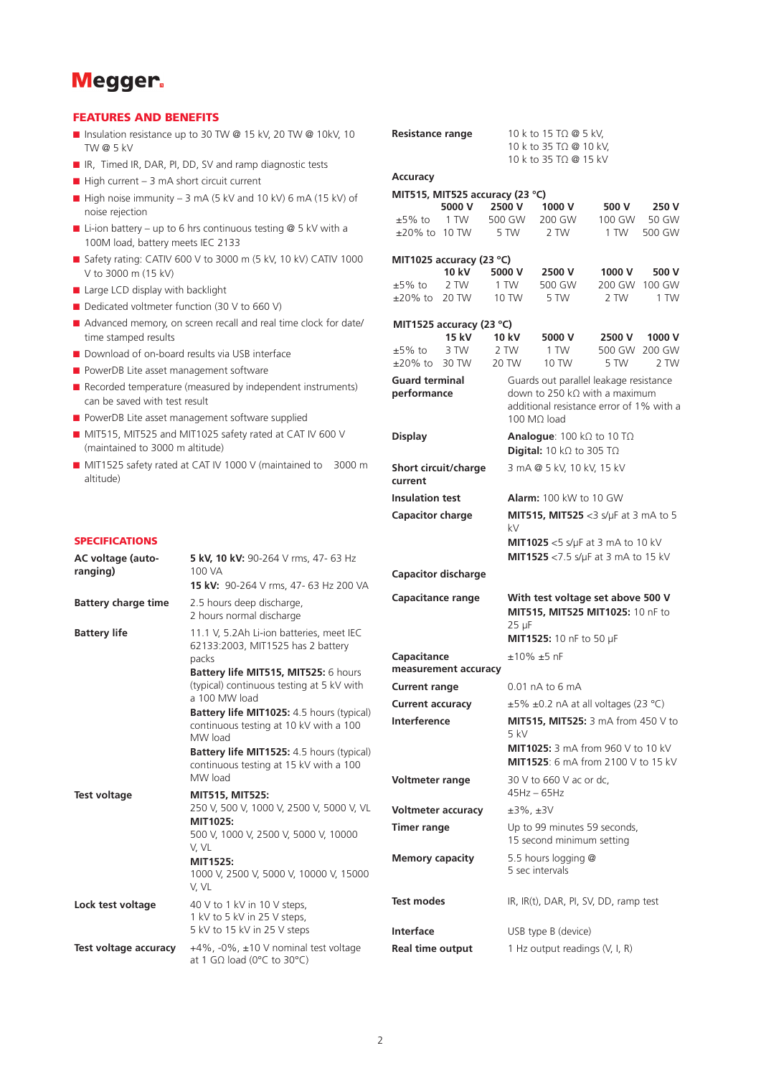

#### FEATURES AND BENEFITS

- Insulation resistance up to 30 TW @ 15 kV, 20 TW @ 10kV, 10 TW @ 5 kV
- IR, Timed IR, DAR, PI, DD, SV and ramp diagnostic tests
- $\blacksquare$  High current 3 mA short circuit current
- $\blacksquare$  High noise immunity 3 mA (5 kV and 10 kV) 6 mA (15 kV) of noise rejection
- **■** Li-ion battery up to 6 hrs continuous testing  $@$  5 kV with a 100M load, battery meets IEC 2133
- Safety rating: CATIV 600 V to 3000 m (5 kV, 10 kV) CATIV 1000 V to 3000 m (15 kV)
- Large LCD display with backlight
- Dedicated voltmeter function (30 V to 660 V)
- Advanced memory, on screen recall and real time clock for date/ time stamped results
- Download of on-board results via USB interface
- PowerDB Lite asset management software
- Recorded temperature (measured by independent instruments) can be saved with test result
- PowerDB Lite asset management software supplied
- MIT515, MIT525 and MIT1025 safety rated at CAT IV 600 V (maintained to 3000 m altitude)
- MIT1525 safety rated at CAT IV 1000 V (maintained to 3000 m altitude)

| <b>SPECIFICATIONS</b> |  |  |  |  |
|-----------------------|--|--|--|--|
|-----------------------|--|--|--|--|

| <b>AC voltage (auto-</b><br>ranging) | 5 kV, 10 kV: 90-264 V rms, 47- 63 Hz<br>100 VA<br>15 kV: 90-264 V rms, 47- 63 Hz 200 VA                                                                                                                                                                                                                                                                                                                        | Capao                                              |
|--------------------------------------|----------------------------------------------------------------------------------------------------------------------------------------------------------------------------------------------------------------------------------------------------------------------------------------------------------------------------------------------------------------------------------------------------------------|----------------------------------------------------|
| <b>Battery charge time</b>           | 2.5 hours deep discharge,<br>2 hours normal discharge                                                                                                                                                                                                                                                                                                                                                          | Capao                                              |
| <b>Battery life</b>                  | 11.1 V, 5.2Ah Li-ion batteries, meet IEC<br>62133:2003, MIT1525 has 2 battery<br>packs<br>Battery life MIT515, MIT525: 6 hours<br>(typical) continuous testing at 5 kV with<br>a 100 MW load<br><b>Battery life MIT1025:</b> 4.5 hours (typical)<br>continuous testing at 10 kV with a 100<br>MW load<br><b>Battery life MIT1525:</b> 4.5 hours (typical)<br>continuous testing at 15 kV with a 100<br>MW load | Capao<br>meas<br>Curre<br>Curre<br>Interf<br>Voltm |
| Test voltage                         | <b>MIT515, MIT525:</b><br>250 V, 500 V, 1000 V, 2500 V, 5000 V, VL<br>MIT1025:<br>500 V, 1000 V, 2500 V, 5000 V, 10000<br>V, VL<br>MIT1525:<br>1000 V, 2500 V, 5000 V, 10000 V, 15000<br>V, VL                                                                                                                                                                                                                 | Voltm<br><b>Timer</b><br>Memo                      |
| Lock test voltage                    | 40 V to 1 kV in 10 V steps,<br>1 kV to 5 kV in 25 V steps,<br>5 kV to 15 kV in 25 V steps                                                                                                                                                                                                                                                                                                                      | Test n<br>Interf                                   |
| Test voltage accuracy                | +4%, -0%, ±10 V nominal test voltage<br>at 1 G $\Omega$ load (0°C to 30°C)                                                                                                                                                                                                                                                                                                                                     | Real t                                             |

| <b>Resistance range</b>             |              |                                 | 10 k to 15 TΩ @ 5 kV,                             |        |        |  |
|-------------------------------------|--------------|---------------------------------|---------------------------------------------------|--------|--------|--|
|                                     |              |                                 | 10 k to 35 TΩ @ 10 kV,                            |        |        |  |
|                                     |              |                                 | 10 k to 35 TΩ @ 15 kV                             |        |        |  |
| Accuracy                            |              |                                 |                                                   |        |        |  |
|                                     |              | MIT515, MIT525 accuracy (23 °C) |                                                   |        |        |  |
|                                     | 5000 V       | 2500 V                          | 1000 V                                            | 500 V  | 250 V  |  |
| ±5% to                              | 1 TW         | 500 GW                          | 200 GW                                            | 100 GW | 50 GW  |  |
| $\pm 20\%$ to 10 TW                 |              | 5 TW                            | 2 TW                                              | 1 TW   | 500 GW |  |
|                                     |              |                                 |                                                   |        |        |  |
| MIT1025 accuracy (23 °C)            |              |                                 |                                                   |        |        |  |
|                                     | <b>10 kV</b> | 5000 V                          | 2500 V                                            | 1000 V | 500 V  |  |
| $±5\%$ to                           | 2 TW         | 1 TW                            | 500 GW                                            | 200 GW | 100 GW |  |
| ±20% to                             | 20 TW        | 10 TW                           | 5 TW                                              | 2 TW   | 1 TW   |  |
| MIT1525 accuracy (23 °C)            |              |                                 |                                                   |        |        |  |
|                                     | <b>15 kV</b> | <b>10 kV</b>                    | 5000 V                                            | 2500 V | 1000 V |  |
| $±5\%$ to                           | 3 TW         | 2 TW                            | 1 TW                                              | 500 GW | 200 GW |  |
| $\pm 20\%$ to                       | 30 TW        | 20 TW                           | 10 TW                                             | 5 TW   | 2 TW   |  |
| <b>Guard terminal</b>               |              |                                 | Guards out parallel leakage resistance            |        |        |  |
| performance                         |              |                                 | down to 250 k $\Omega$ with a maximum             |        |        |  |
|                                     |              |                                 | additional resistance error of 1% with a          |        |        |  |
|                                     |              |                                 | 100 MO load                                       |        |        |  |
| <b>Display</b>                      |              |                                 | <b>Analogue</b> : 100 k $\Omega$ to 10 T $\Omega$ |        |        |  |
|                                     |              |                                 | <b>Digital:</b> 10 k $\Omega$ to 305 T $\Omega$   |        |        |  |
| Short circuit/charge                |              |                                 | 3 mA @ 5 kV, 10 kV, 15 kV                         |        |        |  |
| current                             |              |                                 |                                                   |        |        |  |
|                                     |              |                                 |                                                   |        |        |  |
| <b>Insulation test</b>              |              |                                 | <b>Alarm:</b> 100 kW to 10 GW                     |        |        |  |
| <b>Capacitor charge</b>             |              |                                 | <b>MIT515, MIT525</b> <3 s/ $\mu$ F at 3 mA to 5  |        |        |  |
|                                     |              | kV                              |                                                   |        |        |  |
|                                     |              |                                 | <b>MIT1025</b> <5 s/ $\mu$ F at 3 mA to 10 kV     |        |        |  |
|                                     |              |                                 | MIT1525 <7.5 s/µF at 3 mA to 15 kV                |        |        |  |
| <b>Capacitor discharge</b>          |              |                                 |                                                   |        |        |  |
|                                     |              |                                 |                                                   |        |        |  |
| <b>Capacitance range</b>            |              |                                 | With test voltage set above 500 V                 |        |        |  |
|                                     |              | $25 \mu F$                      | MIT515, MIT525 MIT1025: 10 nF to                  |        |        |  |
|                                     |              |                                 |                                                   |        |        |  |
|                                     |              |                                 | MIT1525: 10 nF to 50 µF                           |        |        |  |
| Capacitance<br>measurement accuracy |              |                                 | $±10\%±5$ nF                                      |        |        |  |
|                                     |              |                                 |                                                   |        |        |  |
| <b>Current range</b>                |              |                                 | 0.01 nA to 6 mA                                   |        |        |  |
| <b>Current accuracy</b>             |              |                                 | $\pm 5\%$ $\pm 0.2$ nA at all voltages (23 °C)    |        |        |  |
| Interference                        |              |                                 | <b>MIT515, MIT525:</b> 3 mA from 450 V to         |        |        |  |
|                                     |              | $5$ kV                          |                                                   |        |        |  |
|                                     |              |                                 | <b>MIT1025:</b> 3 mA from 960 V to 10 kV          |        |        |  |
|                                     |              |                                 | <b>MIT1525:</b> 6 mA from 2100 V to 15 kV         |        |        |  |
| Voltmeter range                     |              |                                 | 30 V to 660 V ac or dc,                           |        |        |  |
|                                     |              |                                 | $45Hz - 65Hz$                                     |        |        |  |
| <b>Voltmeter accuracy</b>           |              | $±3\%$ , $±3V$                  |                                                   |        |        |  |
|                                     |              |                                 |                                                   |        |        |  |
| <b>Timer range</b>                  |              |                                 | Up to 99 minutes 59 seconds,                      |        |        |  |
|                                     |              |                                 | 15 second minimum setting                         |        |        |  |
| <b>Memory capacity</b>              |              |                                 | 5.5 hours logging @                               |        |        |  |
|                                     |              |                                 | 5 sec intervals                                   |        |        |  |
|                                     |              |                                 |                                                   |        |        |  |
| <b>Test modes</b>                   |              |                                 | IR, IR(t), DAR, PI, SV, DD, ramp test             |        |        |  |
|                                     |              |                                 |                                                   |        |        |  |
| <b>Interface</b>                    |              |                                 | USB type B (device)                               |        |        |  |
| Real time output                    |              |                                 | 1 Hz output readings (V, I, R)                    |        |        |  |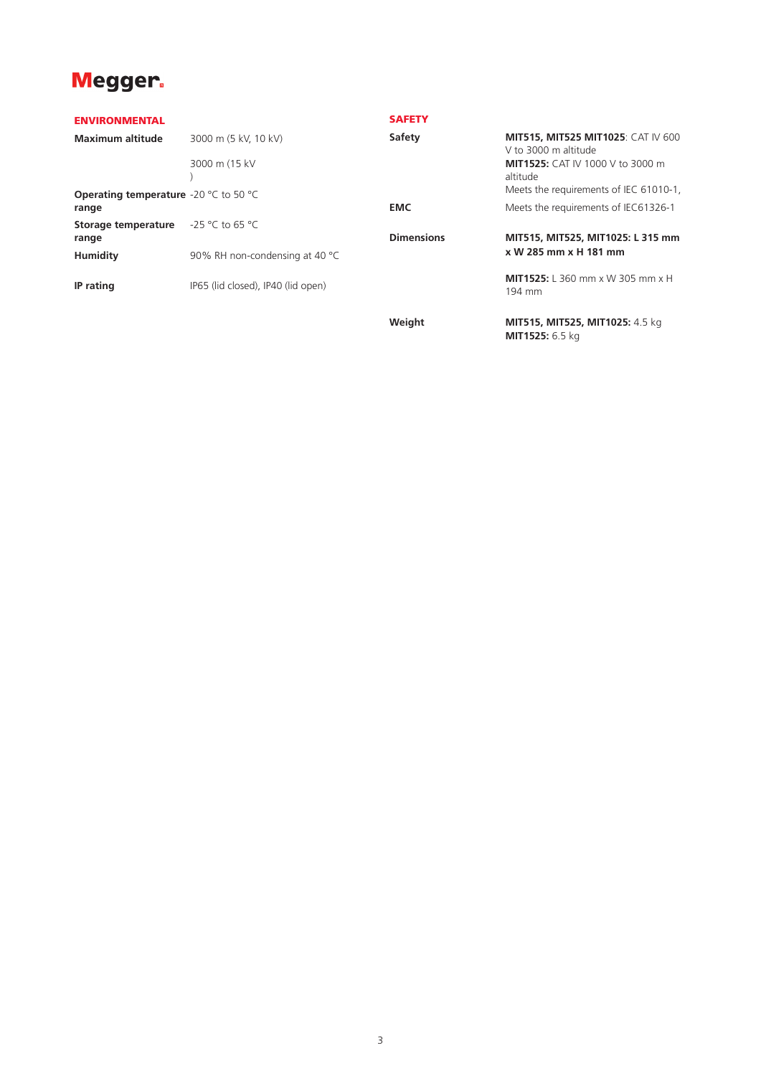## Megger.

| <b>ENVIRONMENTAL</b>                                           |                                       | <b>SAFETY</b>     |                                                                                                       |
|----------------------------------------------------------------|---------------------------------------|-------------------|-------------------------------------------------------------------------------------------------------|
| <b>Maximum altitude</b>                                        | 3000 m (5 kV, 10 kV)<br>3000 m (15 kV | Safety            | <b>MIT515, MIT525 MIT1025: CAT IV 600</b><br>V to 3000 m altitude<br>MIT1525: CAT IV 1000 V to 3000 m |
| <b>Operating temperature</b> -20 $\degree$ C to 50 $\degree$ C |                                       |                   | altitude<br>Meets the requirements of IEC 61010-1,                                                    |
| range                                                          |                                       | <b>EMC</b>        | Meets the requirements of IEC61326-1                                                                  |
| Storage temperature<br>range                                   | $-25$ °C to 65 °C                     | <b>Dimensions</b> | MIT515, MIT525, MIT1025: L 315 mm                                                                     |
| <b>Humidity</b>                                                | 90% RH non-condensing at 40 °C        |                   | x W 285 mm x H 181 mm                                                                                 |
| IP rating                                                      | IP65 (lid closed), IP40 (lid open)    |                   | <b>MIT1525:</b> L 360 mm x W 305 mm x H<br>194 mm                                                     |
|                                                                |                                       | Weight            | MIT515, MIT525, MIT1025: 4.5 kg<br>MIT1525: 6.5 kg                                                    |